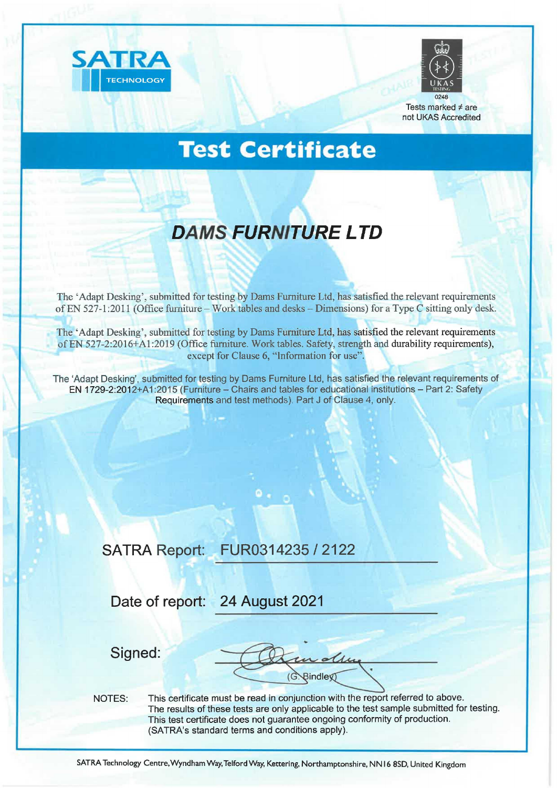



Tests marked ≠ are not UKAS Accredited

## **Test Certificate**

## **DAMS FURNITURE LTD**

The 'Adapt Desking', submitted for testing by Dams Furniture Ltd, has satisfied the relevant requirements of EN 527-1:2011 (Office furniture – Work tables and desks – Dimensions) for a Type C sitting only desk.

The 'Adapt Desking', submitted for testing by Dams Furniture Ltd, has satisfied the relevant requirements of EN 527-2:2016+A1:2019 (Office furniture. Work tables. Safety, strength and durability requirements), except for Clause 6, "Information for use".

The 'Adapt Desking', submitted for testing by Dams Furniture Ltd, has satisfied the relevant requirements of EN 1729-2:2012+A1:2015 (Furniture - Chairs and tables for educational institutions - Part 2: Safety Requirements and test methods). Part J of Clause 4, only.

#### SATRA Report: FUR0314235 / 2122

Date of report: 24 August 2021

Signed:

NOTES:

Bindley

This certificate must be read in conjunction with the report referred to above. The results of these tests are only applicable to the test sample submitted for testing. This test certificate does not guarantee ongoing conformity of production. (SATRA's standard terms and conditions apply).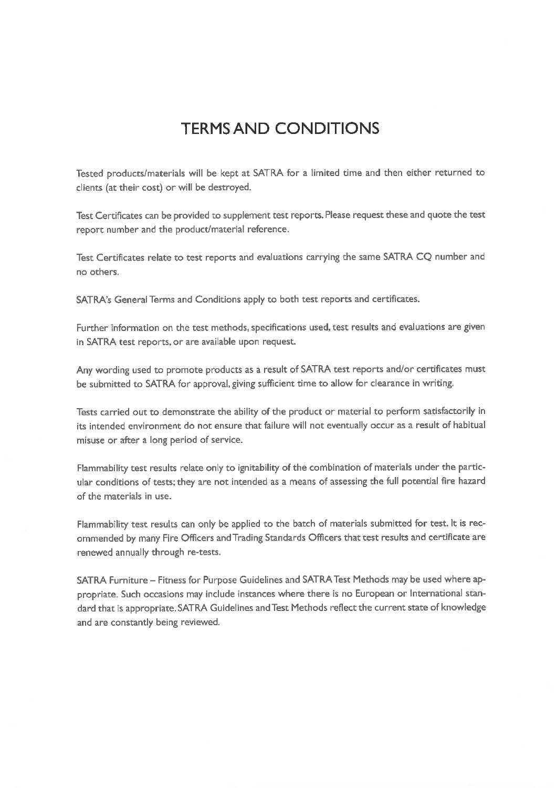#### **TERMS AND CONDITIONS**

Tested products/materials will be kept at SATRA for a limited time and then either returned to clients (at their cost) or will be destroyed.

Test Certificates can be provided to supplement test reports. Please request these and quote the test report number and the product/material reference.

Test Certificates relate to test reports and evaluations carrying the same SATRA CQ number and no others.

SATRA's General Terms and Conditions apply to both test reports and certificates.

Further information on the test methods, specifications used, test results and evaluations are given in SATRA test reports, or are available upon request.

Any wording used to promote products as a result of SATRA test reports and/or certificates must be submitted to SATRA for approval, giving sufficient time to allow for clearance in writing.

Tests carried out to demonstrate the ability of the product or material to perform satisfactorily in its intended environment do not ensure that failure will not eventually occur as a result of habitual misuse or after a long period of service.

Flammability test results relate only to ignitability of the combination of materials under the particular conditions of tests; they are not intended as a means of assessing the full potential fire hazard of the materials in use.

Flammability test results can only be applied to the batch of materials submitted for test. It is recommended by many Fire Officers and Trading Standards Officers that test results and certificate are renewed annually through re-tests.

SATRA Furniture - Fitness for Purpose Guidelines and SATRA Test Methods may be used where appropriate. Such occasions may include instances where there is no European or International standard that is appropriate. SATRA Guidelines and Test Methods reflect the current state of knowledge and are constantly being reviewed.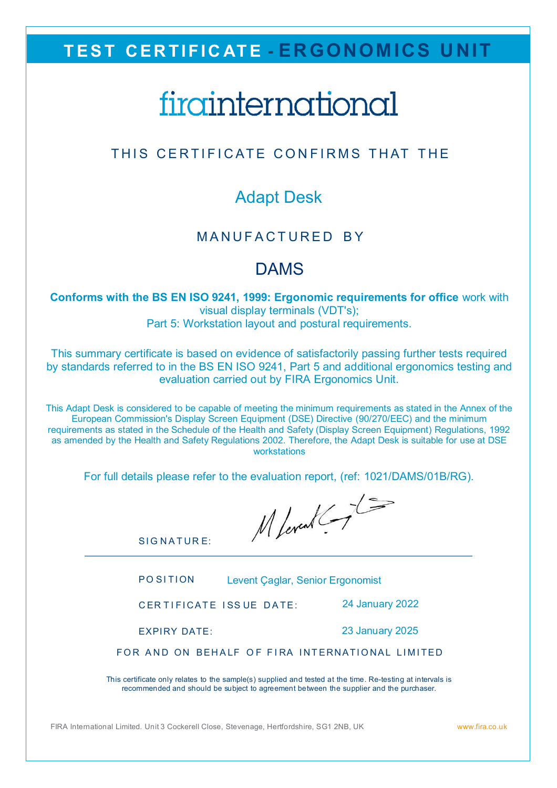### **T ES T C ER T I F I C AT E - ERGONOM ICS UNIT**

# firainternational

#### THIS CERTIFICATE CONFIRMS THAT THE

#### Adapt Desk

#### MANUFACTURED BY

#### DAMS

**Conforms with the BS EN ISO 9241, 1999: Ergonomic requirements for office** work with visual display terminals (VDT's); Part 5: Workstation layout and postural requirements.

This summary certificate is based on evidence of satisfactorily passing further tests required by standards referred to in the BS EN ISO 9241, Part 5 and additional ergonomics testing and evaluation carried out by FIRA Ergonomics Unit.

This Adapt Desk is considered to be capable of meeting the minimum requirements as stated in the Annex of the European Commission's Display Screen Equipment (DSE) Directive (90/270/EEC) and the minimum requirements as stated in the Schedule of the Health and Safety (Display Screen Equipment) Regulations, 1992 as amended by the Health and Safety Regulations 2002. Therefore, the Adapt Desk is suitable for use at DSE workstations

For full details please refer to the evaluation report, (ref: 1021/DAMS/01B/RG).

SIGNATURE:  $M$  fercal  $\leftarrow$ 

PO SITION

Levent Çaglar, Senior Ergonomist

CER TIFICATE ISS UE DATE:

24 January 2022

EXPIRY DATE:

23 January 2025

FOR AND ON BEHALF OF FIRA INTERNATIONAL LIMITED

This certificate only relates to the sample(s) supplied and tested at the time. Re-testing at intervals is recommended and should be subject to agreement between the supplier and the purchaser.

FIRA International Limited. Unit 3 Cockerell Close, Stevenage, Hertfordshire, SG1 2NB, UK www.fira.co.uk